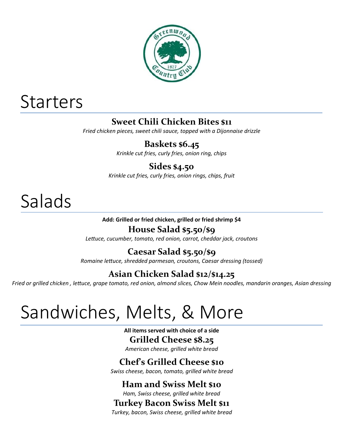

# **Starters**

## **Sweet Chili Chicken Bites \$11**

*Fried chicken pieces, sweet chili sauce, topped with a Dijonnaise drizzle*

## **Baskets \$6.45**

*Krinkle cut fries, curly fries, onion ring, chips*

## **Sides \$4.50**

*Krinkle cut fries, curly fries, onion rings, chips, fruit*

# Salads

#### **Add: Grilled or fried chicken, grilled or fried shrimp \$4**

### **House Salad \$5.50/\$9**

*Lettuce, cucumber, tomato, red onion, carrot, cheddar jack, croutons*

## **Caesar Salad \$5.50/\$9**

*Romaine lettuce, shredded parmesan, croutons, Caesar dressing (tossed)*

## **Asian Chicken Salad \$12/\$14.25**

*Fried or grilled chicken , lettuce, grape tomato, red onion, almond slices, Chow Mein noodles, mandarin oranges, Asian dressing*

# Sandwiches, Melts, & More

**All items served with choice of a side Grilled Cheese \$8.25**

*American cheese, grilled white bread*

## **Chef's Grilled Cheese \$10**

*Swiss cheese, bacon, tomato, grilled white bread*

## **Ham and Swiss Melt \$10**

*Ham, Swiss cheese, grilled white bread*

### **Turkey Bacon Swiss Melt \$11**

*Turkey, bacon, Swiss cheese, grilled white bread*